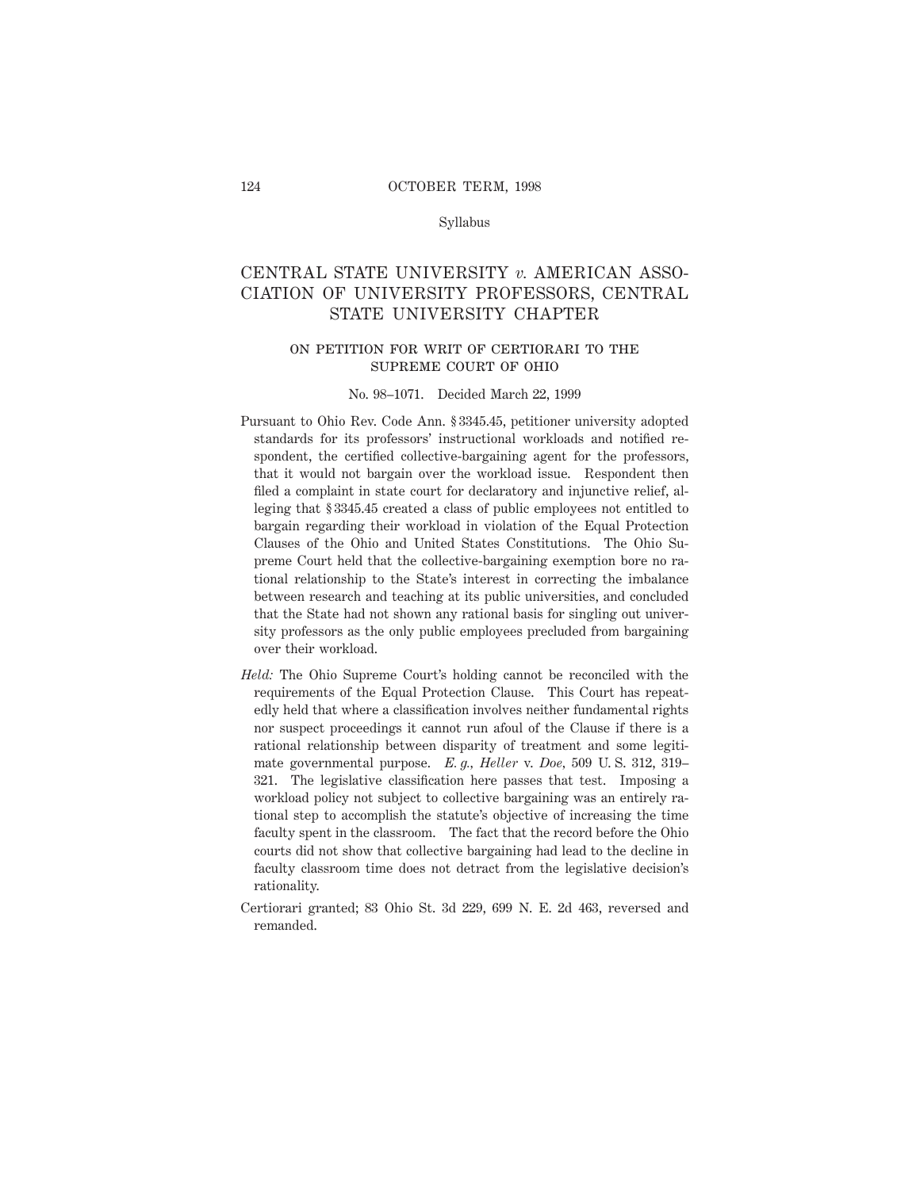#### Syllabus

# CENTRAL STATE UNIVERSITY *v.* AMERICAN ASSO-CIATION OF UNIVERSITY PROFESSORS, CENTRAL STATE UNIVERSITY CHAPTER

# on petition for writ of certiorari to the supreme court of ohio

#### No. 98–1071. Decided March 22, 1999

- Pursuant to Ohio Rev. Code Ann. § 3345.45, petitioner university adopted standards for its professors' instructional workloads and notified respondent, the certified collective-bargaining agent for the professors, that it would not bargain over the workload issue. Respondent then filed a complaint in state court for declaratory and injunctive relief, alleging that § 3345.45 created a class of public employees not entitled to bargain regarding their workload in violation of the Equal Protection Clauses of the Ohio and United States Constitutions. The Ohio Supreme Court held that the collective-bargaining exemption bore no rational relationship to the State's interest in correcting the imbalance between research and teaching at its public universities, and concluded that the State had not shown any rational basis for singling out university professors as the only public employees precluded from bargaining over their workload.
- *Held:* The Ohio Supreme Court's holding cannot be reconciled with the requirements of the Equal Protection Clause. This Court has repeatedly held that where a classification involves neither fundamental rights nor suspect proceedings it cannot run afoul of the Clause if there is a rational relationship between disparity of treatment and some legitimate governmental purpose. *E. g., Heller* v. *Doe,* 509 U. S. 312, 319– 321. The legislative classification here passes that test. Imposing a workload policy not subject to collective bargaining was an entirely rational step to accomplish the statute's objective of increasing the time faculty spent in the classroom. The fact that the record before the Ohio courts did not show that collective bargaining had lead to the decline in faculty classroom time does not detract from the legislative decision's rationality.
- Certiorari granted; 83 Ohio St. 3d 229, 699 N. E. 2d 463, reversed and remanded.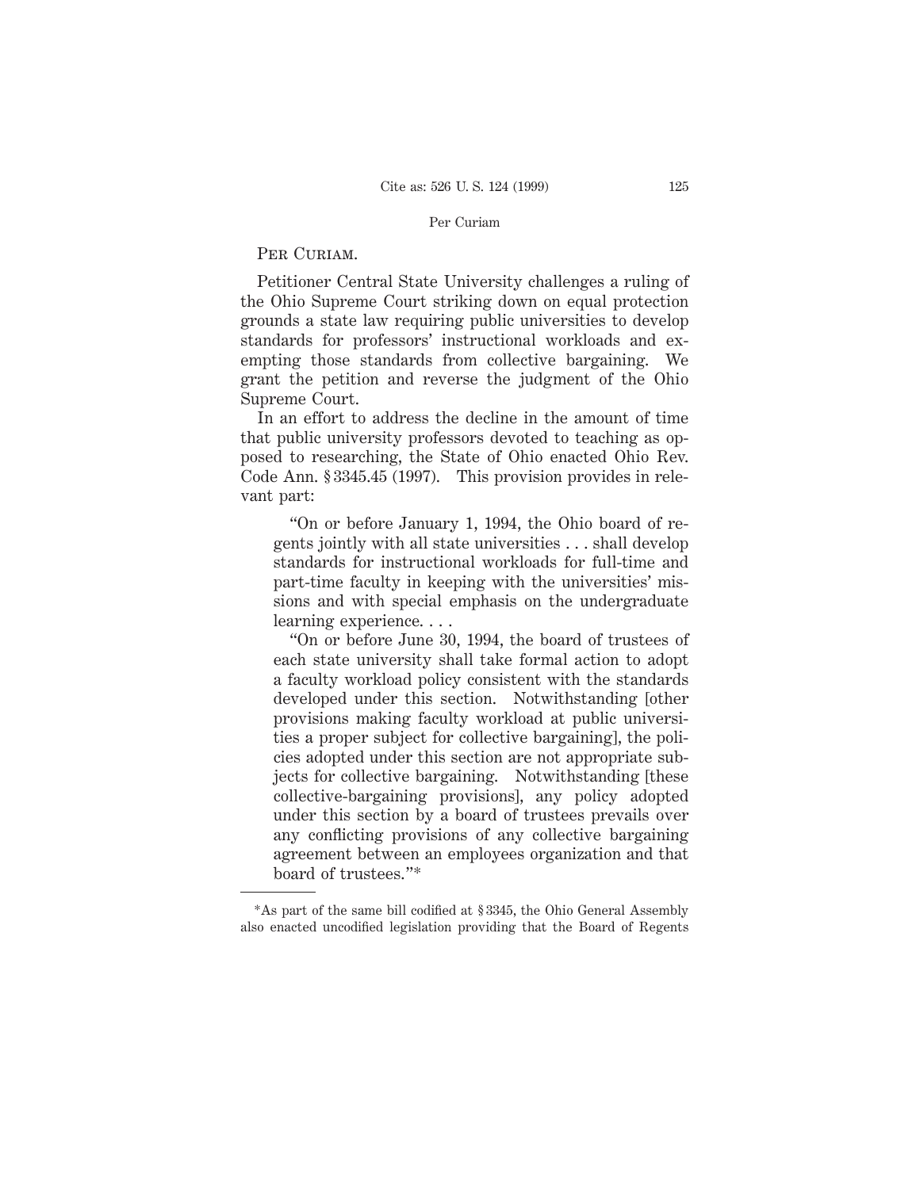#### Per Curiam

### PER CURIAM.

Petitioner Central State University challenges a ruling of the Ohio Supreme Court striking down on equal protection grounds a state law requiring public universities to develop standards for professors' instructional workloads and exempting those standards from collective bargaining. We grant the petition and reverse the judgment of the Ohio Supreme Court.

In an effort to address the decline in the amount of time that public university professors devoted to teaching as opposed to researching, the State of Ohio enacted Ohio Rev. Code Ann. § 3345.45 (1997). This provision provides in relevant part:

"On or before January 1, 1994, the Ohio board of regents jointly with all state universities . . . shall develop standards for instructional workloads for full-time and part-time faculty in keeping with the universities' missions and with special emphasis on the undergraduate learning experience....

"On or before June 30, 1994, the board of trustees of each state university shall take formal action to adopt a faculty workload policy consistent with the standards developed under this section. Notwithstanding [other provisions making faculty workload at public universities a proper subject for collective bargaining], the policies adopted under this section are not appropriate subjects for collective bargaining. Notwithstanding [these collective-bargaining provisions], any policy adopted under this section by a board of trustees prevails over any conflicting provisions of any collective bargaining agreement between an employees organization and that board of trustees."\*

<sup>\*</sup>As part of the same bill codified at § 3345, the Ohio General Assembly also enacted uncodified legislation providing that the Board of Regents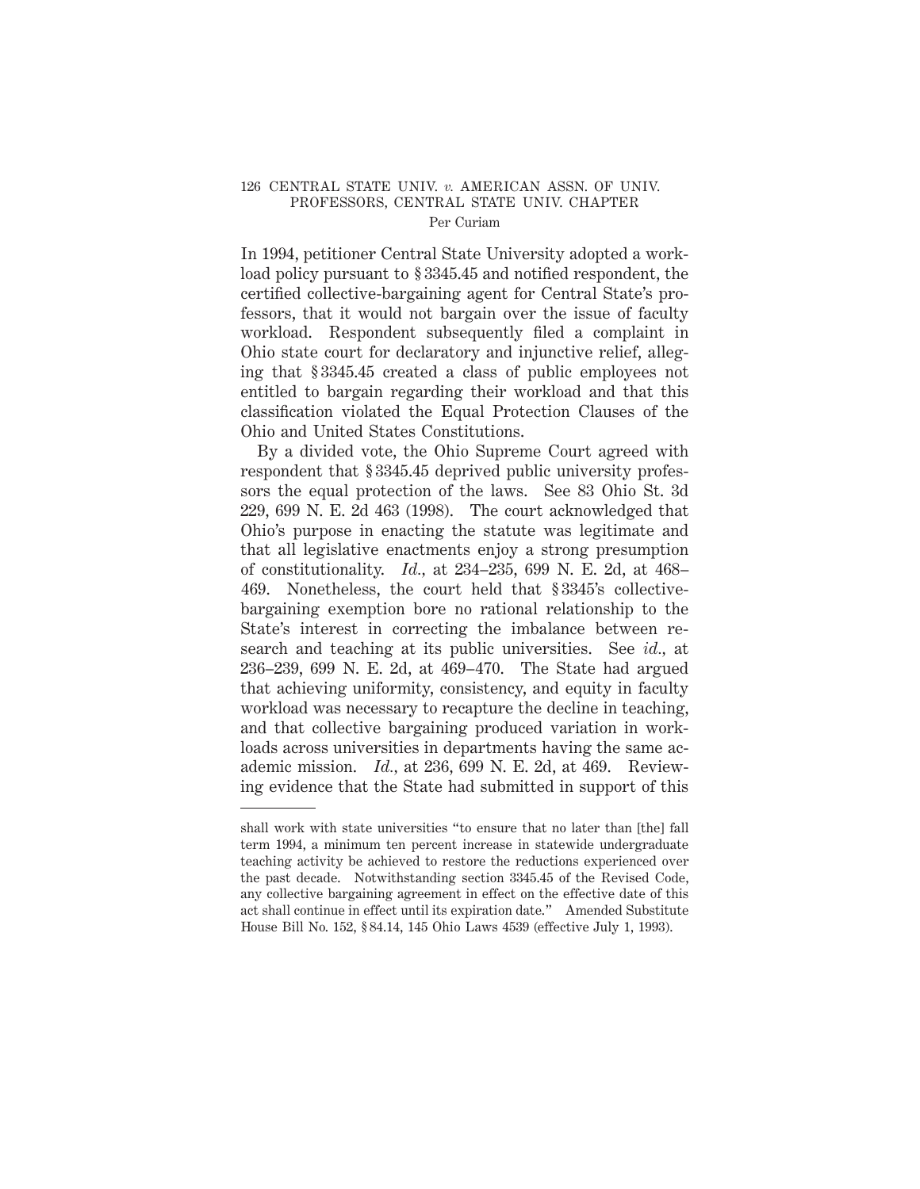#### 126 CENTRAL STATE UNIV. *v.* AMERICAN ASSN. OF UNIV. PROFESSORS, CENTRAL STATE UNIV. CHAPTER Per Curiam

In 1994, petitioner Central State University adopted a workload policy pursuant to § 3345.45 and notified respondent, the certified collective-bargaining agent for Central State's professors, that it would not bargain over the issue of faculty workload. Respondent subsequently filed a complaint in Ohio state court for declaratory and injunctive relief, alleging that § 3345.45 created a class of public employees not entitled to bargain regarding their workload and that this classification violated the Equal Protection Clauses of the Ohio and United States Constitutions.

By a divided vote, the Ohio Supreme Court agreed with respondent that § 3345.45 deprived public university professors the equal protection of the laws. See 83 Ohio St. 3d 229, 699 N. E. 2d 463 (1998). The court acknowledged that Ohio's purpose in enacting the statute was legitimate and that all legislative enactments enjoy a strong presumption of constitutionality. *Id.,* at 234–235, 699 N. E. 2d, at 468– 469. Nonetheless, the court held that § 3345's collectivebargaining exemption bore no rational relationship to the State's interest in correcting the imbalance between research and teaching at its public universities. See *id.,* at 236–239, 699 N. E. 2d, at 469–470. The State had argued that achieving uniformity, consistency, and equity in faculty workload was necessary to recapture the decline in teaching, and that collective bargaining produced variation in workloads across universities in departments having the same academic mission. *Id.,* at 236, 699 N. E. 2d, at 469. Reviewing evidence that the State had submitted in support of this

shall work with state universities "to ensure that no later than [the] fall term 1994, a minimum ten percent increase in statewide undergraduate teaching activity be achieved to restore the reductions experienced over the past decade. Notwithstanding section 3345.45 of the Revised Code, any collective bargaining agreement in effect on the effective date of this act shall continue in effect until its expiration date." Amended Substitute House Bill No. 152, § 84.14, 145 Ohio Laws 4539 (effective July 1, 1993).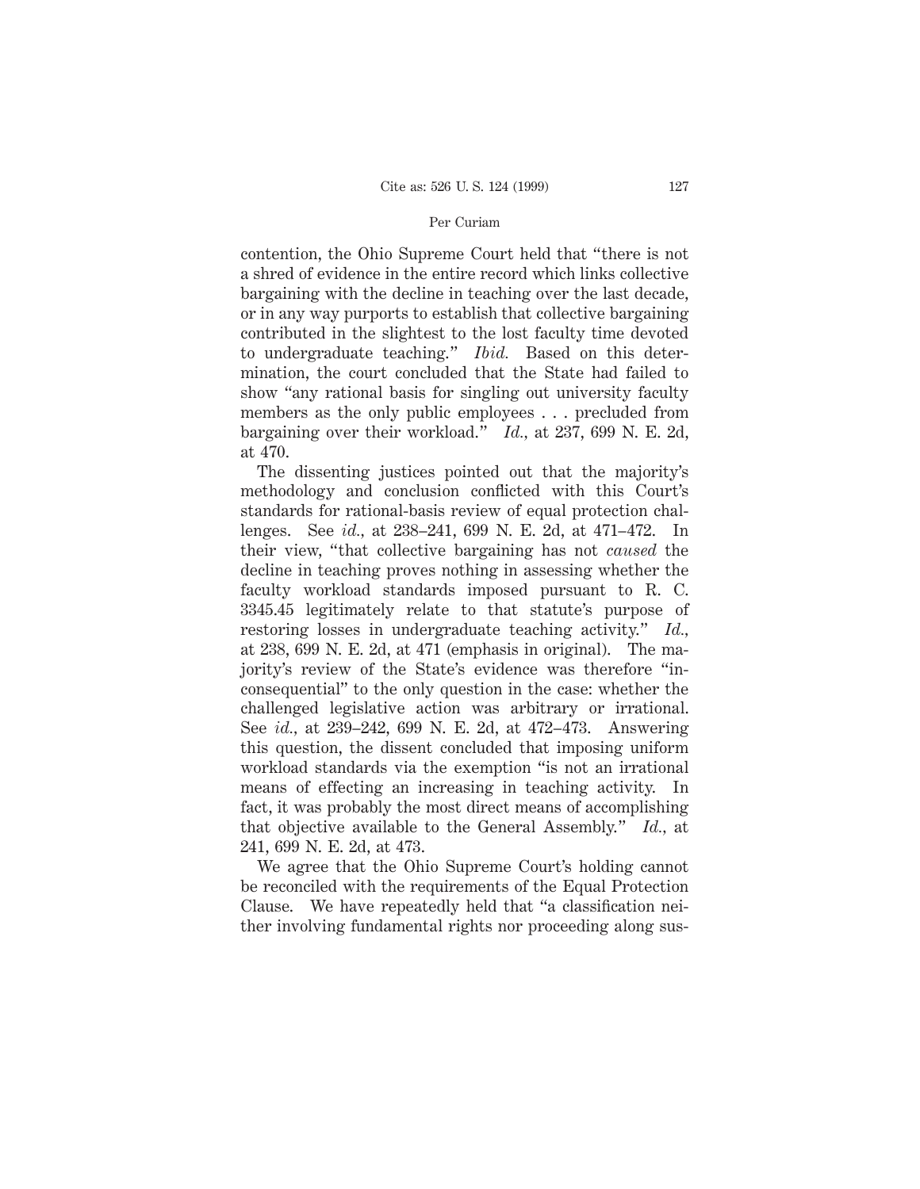#### Per Curiam

contention, the Ohio Supreme Court held that "there is not a shred of evidence in the entire record which links collective bargaining with the decline in teaching over the last decade, or in any way purports to establish that collective bargaining contributed in the slightest to the lost faculty time devoted to undergraduate teaching." *Ibid.* Based on this determination, the court concluded that the State had failed to show "any rational basis for singling out university faculty members as the only public employees... precluded from bargaining over their workload." *Id.,* at 237, 699 N. E. 2d, at 470.

The dissenting justices pointed out that the majority's methodology and conclusion conflicted with this Court's standards for rational-basis review of equal protection challenges. See *id.,* at 238–241, 699 N. E. 2d, at 471–472. In their view, "that collective bargaining has not *caused* the decline in teaching proves nothing in assessing whether the faculty workload standards imposed pursuant to R. C. 3345.45 legitimately relate to that statute's purpose of restoring losses in undergraduate teaching activity." *Id.,* at 238, 699 N. E. 2d, at 471 (emphasis in original). The majority's review of the State's evidence was therefore "inconsequential" to the only question in the case: whether the challenged legislative action was arbitrary or irrational. See *id.,* at 239–242, 699 N. E. 2d, at 472–473. Answering this question, the dissent concluded that imposing uniform workload standards via the exemption "is not an irrational means of effecting an increasing in teaching activity. In fact, it was probably the most direct means of accomplishing that objective available to the General Assembly." *Id.,* at 241, 699 N. E. 2d, at 473.

We agree that the Ohio Supreme Court's holding cannot be reconciled with the requirements of the Equal Protection Clause. We have repeatedly held that "a classification neither involving fundamental rights nor proceeding along sus-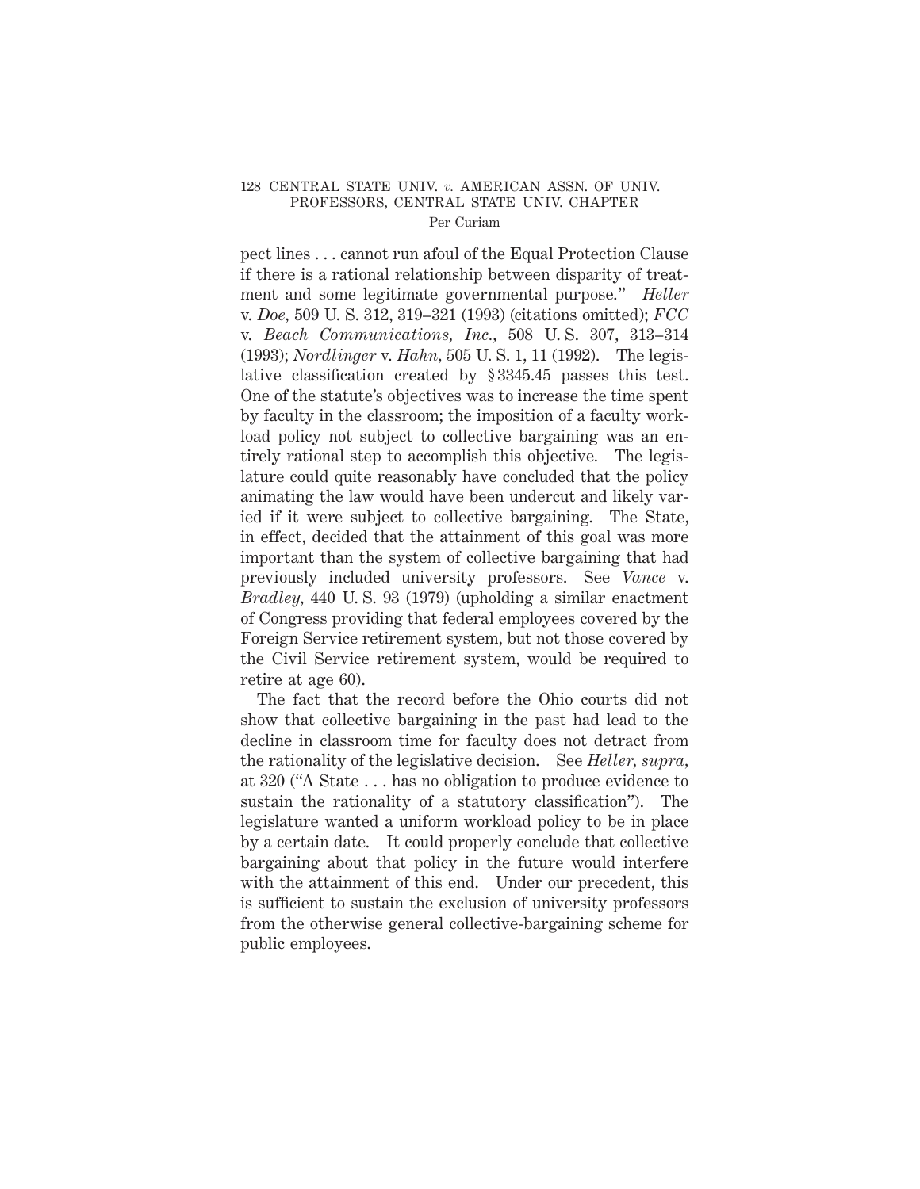#### 128 CENTRAL STATE UNIV. *v.* AMERICAN ASSN. OF UNIV. PROFESSORS, CENTRAL STATE UNIV. CHAPTER Per Curiam

pect lines . . . cannot run afoul of the Equal Protection Clause if there is a rational relationship between disparity of treatment and some legitimate governmental purpose." *Heller* v. *Doe,* 509 U. S. 312, 319–321 (1993) (citations omitted); *FCC* v. *Beach Communications, Inc.,* 508 U. S. 307, 313–314 (1993); *Nordlinger* v. *Hahn,* 505 U. S. 1, 11 (1992). The legislative classification created by § 3345.45 passes this test. One of the statute's objectives was to increase the time spent by faculty in the classroom; the imposition of a faculty workload policy not subject to collective bargaining was an entirely rational step to accomplish this objective. The legislature could quite reasonably have concluded that the policy animating the law would have been undercut and likely varied if it were subject to collective bargaining. The State, in effect, decided that the attainment of this goal was more important than the system of collective bargaining that had previously included university professors. See *Vance* v. *Bradley,* 440 U. S. 93 (1979) (upholding a similar enactment of Congress providing that federal employees covered by the Foreign Service retirement system, but not those covered by the Civil Service retirement system, would be required to retire at age 60).

The fact that the record before the Ohio courts did not show that collective bargaining in the past had lead to the decline in classroom time for faculty does not detract from the rationality of the legislative decision. See *Heller, supra,* at 320 ("A State . . . has no obligation to produce evidence to sustain the rationality of a statutory classification"). The legislature wanted a uniform workload policy to be in place by a certain date. It could properly conclude that collective bargaining about that policy in the future would interfere with the attainment of this end. Under our precedent, this is sufficient to sustain the exclusion of university professors from the otherwise general collective-bargaining scheme for public employees.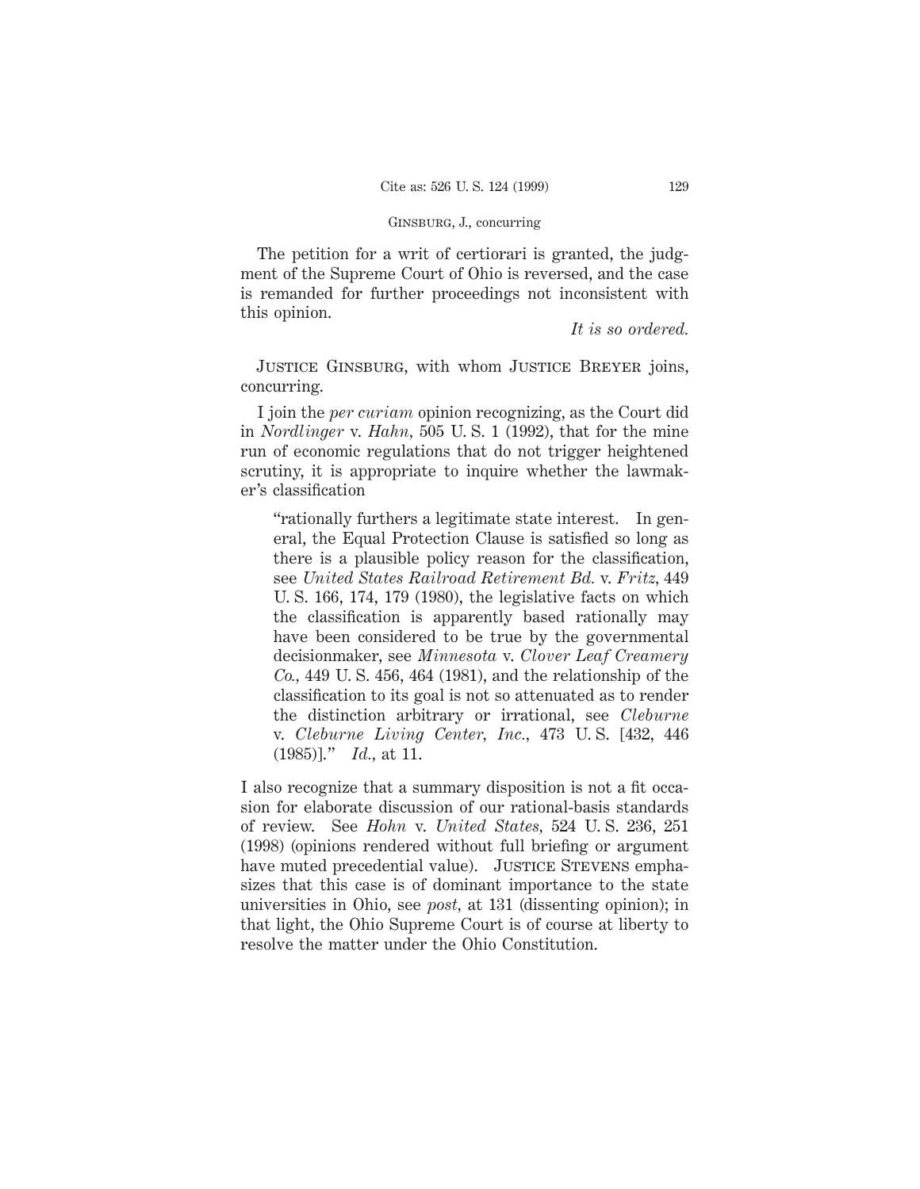### Ginsburg, J., concurring

The petition for a writ of certiorari is granted, the judgment of the Supreme Court of Ohio is reversed, and the case is remanded for further proceedings not inconsistent with this opinion.

*It is so ordered.*

Justice Ginsburg, with whom Justice Breyer joins, concurring.

I join the *per curiam* opinion recognizing, as the Court did in *Nordlinger* v. *Hahn,* 505 U. S. 1 (1992), that for the mine run of economic regulations that do not trigger heightened scrutiny, it is appropriate to inquire whether the lawmaker's classification

"rationally furthers a legitimate state interest. In general, the Equal Protection Clause is satisfied so long as there is a plausible policy reason for the classification, see *United States Railroad Retirement Bd.* v. *Fritz,* 449 U. S. 166, 174, 179 (1980), the legislative facts on which the classification is apparently based rationally may have been considered to be true by the governmental decisionmaker, see *Minnesota* v. *Clover Leaf Creamery Co.,* 449 U. S. 456, 464 (1981), and the relationship of the classification to its goal is not so attenuated as to render the distinction arbitrary or irrational, see *Cleburne* v. *Cleburne Living Center, Inc.,* 473 U. S. [432, 446 (1985)]." *Id.,* at 11.

I also recognize that a summary disposition is not a fit occasion for elaborate discussion of our rational-basis standards of review. See *Hohn* v. *United States,* 524 U. S. 236, 251 (1998) (opinions rendered without full briefing or argument have muted precedential value). JUSTICE STEVENS emphasizes that this case is of dominant importance to the state universities in Ohio, see *post,* at 131 (dissenting opinion); in that light, the Ohio Supreme Court is of course at liberty to resolve the matter under the Ohio Constitution.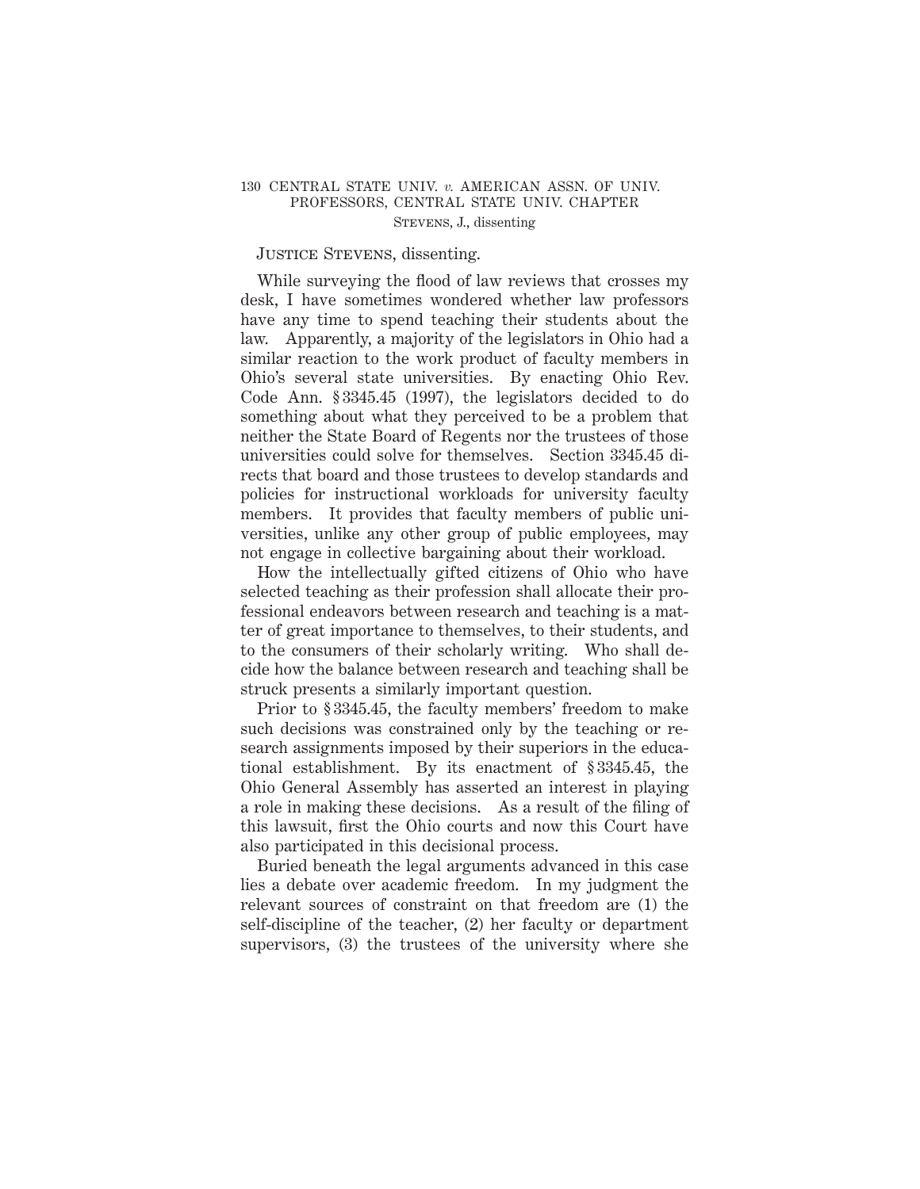## 130 CENTRAL STATE UNIV. *v.* AMERICAN ASSN. OF UNIV. PROFESSORS, CENTRAL STATE UNIV. CHAPTER Stevens, J., dissenting

# JUSTICE STEVENS, dissenting.

While surveying the flood of law reviews that crosses my desk, I have sometimes wondered whether law professors have any time to spend teaching their students about the law. Apparently, a majority of the legislators in Ohio had a similar reaction to the work product of faculty members in Ohio's several state universities. By enacting Ohio Rev. Code Ann. § 3345.45 (1997), the legislators decided to do something about what they perceived to be a problem that neither the State Board of Regents nor the trustees of those universities could solve for themselves. Section 3345.45 directs that board and those trustees to develop standards and policies for instructional workloads for university faculty members. It provides that faculty members of public universities, unlike any other group of public employees, may not engage in collective bargaining about their workload.

How the intellectually gifted citizens of Ohio who have selected teaching as their profession shall allocate their professional endeavors between research and teaching is a matter of great importance to themselves, to their students, and to the consumers of their scholarly writing. Who shall decide how the balance between research and teaching shall be struck presents a similarly important question.

Prior to § 3345.45, the faculty members' freedom to make such decisions was constrained only by the teaching or research assignments imposed by their superiors in the educational establishment. By its enactment of § 3345.45, the Ohio General Assembly has asserted an interest in playing a role in making these decisions. As a result of the filing of this lawsuit, first the Ohio courts and now this Court have also participated in this decisional process.

Buried beneath the legal arguments advanced in this case lies a debate over academic freedom. In my judgment the relevant sources of constraint on that freedom are (1) the self-discipline of the teacher, (2) her faculty or department supervisors, (3) the trustees of the university where she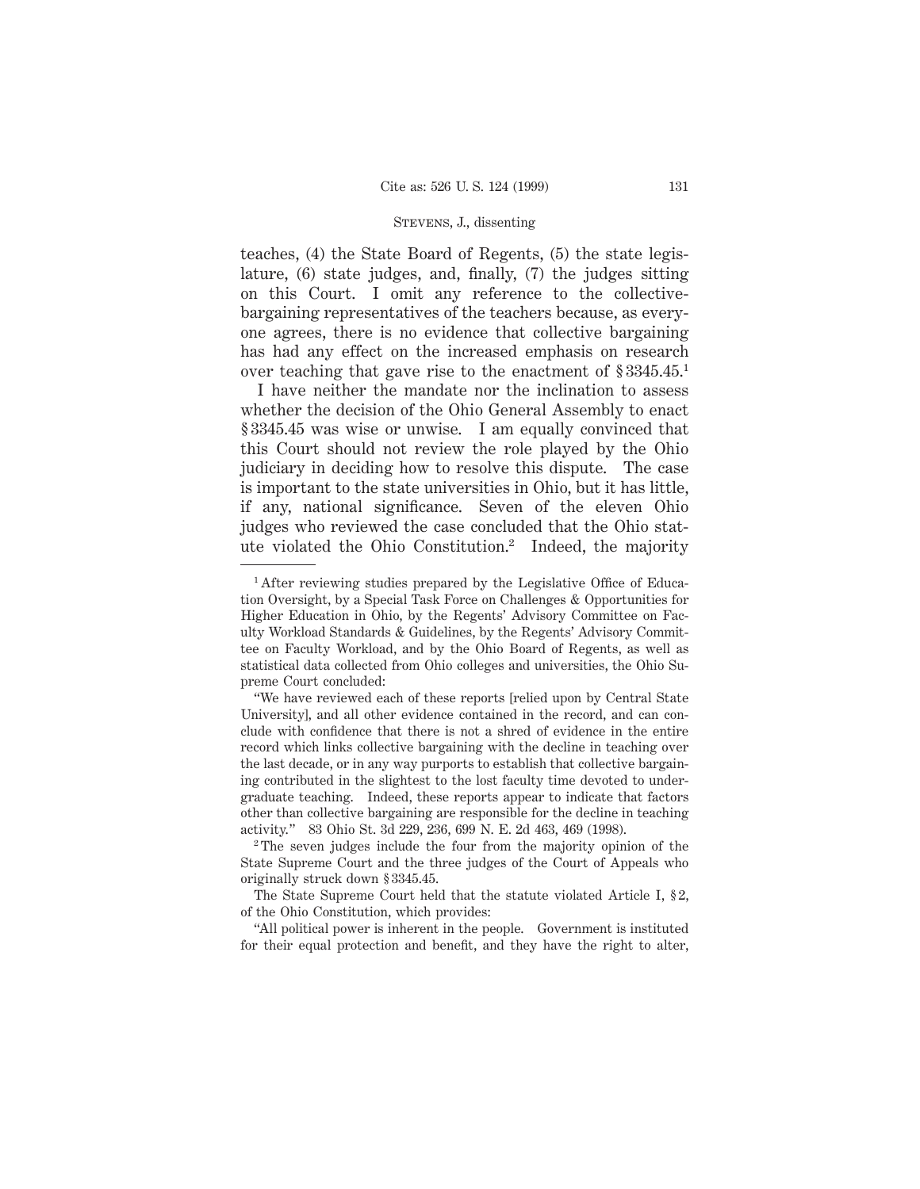### Stevens, J., dissenting

teaches, (4) the State Board of Regents, (5) the state legislature, (6) state judges, and, finally, (7) the judges sitting on this Court. I omit any reference to the collectivebargaining representatives of the teachers because, as everyone agrees, there is no evidence that collective bargaining has had any effect on the increased emphasis on research over teaching that gave rise to the enactment of § 3345.45.1

I have neither the mandate nor the inclination to assess whether the decision of the Ohio General Assembly to enact § 3345.45 was wise or unwise. I am equally convinced that this Court should not review the role played by the Ohio judiciary in deciding how to resolve this dispute. The case is important to the state universities in Ohio, but it has little, if any, national significance. Seven of the eleven Ohio judges who reviewed the case concluded that the Ohio statute violated the Ohio Constitution.2 Indeed, the majority

"All political power is inherent in the people. Government is instituted for their equal protection and benefit, and they have the right to alter,

<sup>&</sup>lt;sup>1</sup> After reviewing studies prepared by the Legislative Office of Education Oversight, by a Special Task Force on Challenges & Opportunities for Higher Education in Ohio, by the Regents' Advisory Committee on Faculty Workload Standards & Guidelines, by the Regents' Advisory Committee on Faculty Workload, and by the Ohio Board of Regents, as well as statistical data collected from Ohio colleges and universities, the Ohio Supreme Court concluded:

<sup>&</sup>quot;We have reviewed each of these reports [relied upon by Central State University], and all other evidence contained in the record, and can conclude with confidence that there is not a shred of evidence in the entire record which links collective bargaining with the decline in teaching over the last decade, or in any way purports to establish that collective bargaining contributed in the slightest to the lost faculty time devoted to undergraduate teaching. Indeed, these reports appear to indicate that factors other than collective bargaining are responsible for the decline in teaching activity." 83 Ohio St. 3d 229, 236, 699 N. E. 2d 463, 469 (1998).

<sup>2</sup> The seven judges include the four from the majority opinion of the State Supreme Court and the three judges of the Court of Appeals who originally struck down § 3345.45.

The State Supreme Court held that the statute violated Article I, § 2, of the Ohio Constitution, which provides: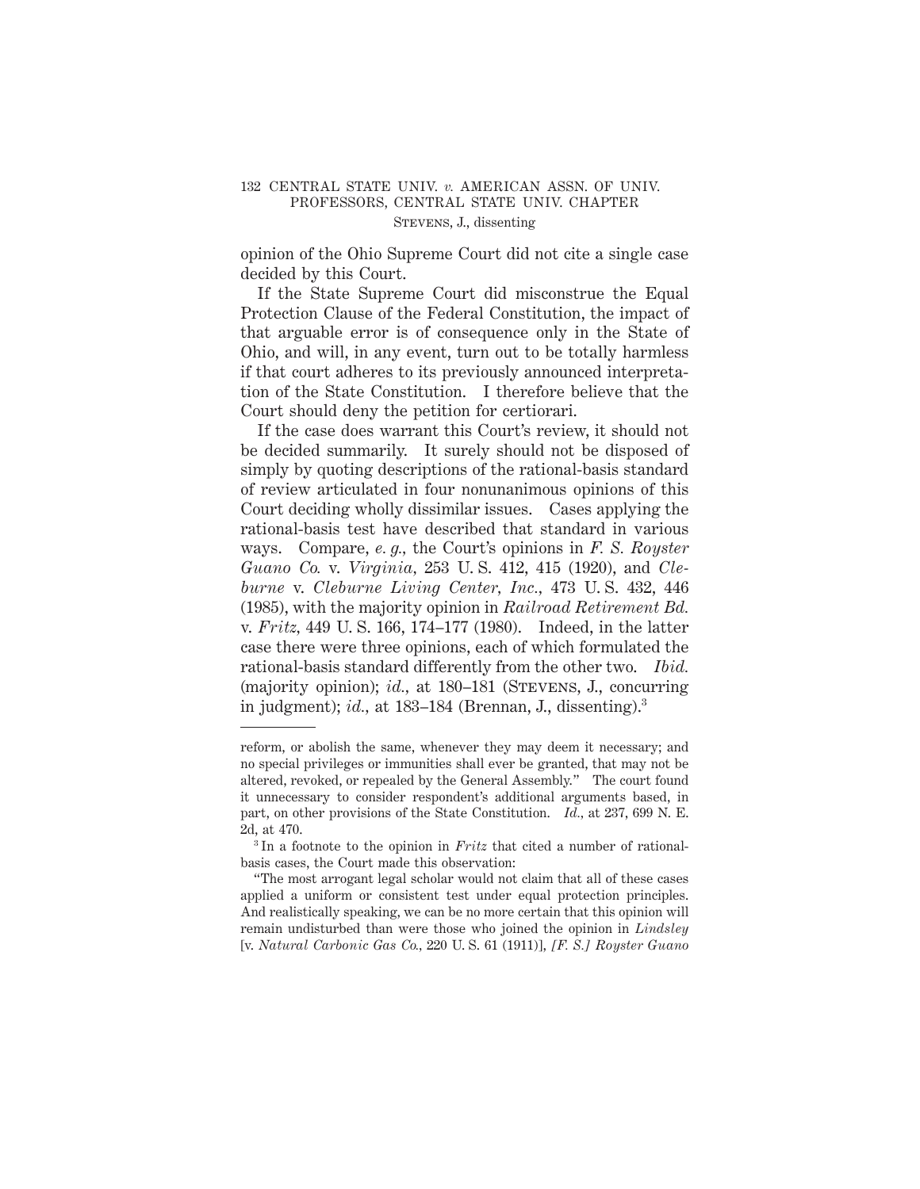## 132 CENTRAL STATE UNIV. *v.* AMERICAN ASSN. OF UNIV. PROFESSORS, CENTRAL STATE UNIV. CHAPTER Stevens, J., dissenting

opinion of the Ohio Supreme Court did not cite a single case decided by this Court.

If the State Supreme Court did misconstrue the Equal Protection Clause of the Federal Constitution, the impact of that arguable error is of consequence only in the State of Ohio, and will, in any event, turn out to be totally harmless if that court adheres to its previously announced interpretation of the State Constitution. I therefore believe that the Court should deny the petition for certiorari.

If the case does warrant this Court's review, it should not be decided summarily. It surely should not be disposed of simply by quoting descriptions of the rational-basis standard of review articulated in four nonunanimous opinions of this Court deciding wholly dissimilar issues. Cases applying the rational-basis test have described that standard in various ways. Compare, *e. g.,* the Court's opinions in *F. S. Royster Guano Co.* v. *Virginia,* 253 U. S. 412, 415 (1920), and *Cleburne* v. *Cleburne Living Center, Inc.,* 473 U. S. 432, 446 (1985), with the majority opinion in *Railroad Retirement Bd.* v. *Fritz,* 449 U. S. 166, 174–177 (1980). Indeed, in the latter case there were three opinions, each of which formulated the rational-basis standard differently from the other two. *Ibid.* (majority opinion); *id.,* at 180–181 (Stevens, J., concurring in judgment); *id.*, at 183–184 (Brennan, J., dissenting).<sup>3</sup>

reform, or abolish the same, whenever they may deem it necessary; and no special privileges or immunities shall ever be granted, that may not be altered, revoked, or repealed by the General Assembly." The court found it unnecessary to consider respondent's additional arguments based, in part, on other provisions of the State Constitution. *Id.,* at 237, 699 N. E. 2d, at 470.

<sup>3</sup> In a footnote to the opinion in *Fritz* that cited a number of rationalbasis cases, the Court made this observation:

<sup>&</sup>quot;The most arrogant legal scholar would not claim that all of these cases applied a uniform or consistent test under equal protection principles. And realistically speaking, we can be no more certain that this opinion will remain undisturbed than were those who joined the opinion in *Lindsley* [v. *Natural Carbonic Gas Co.,* 220 U. S. 61 (1911)], *[F. S.] Royster Guano*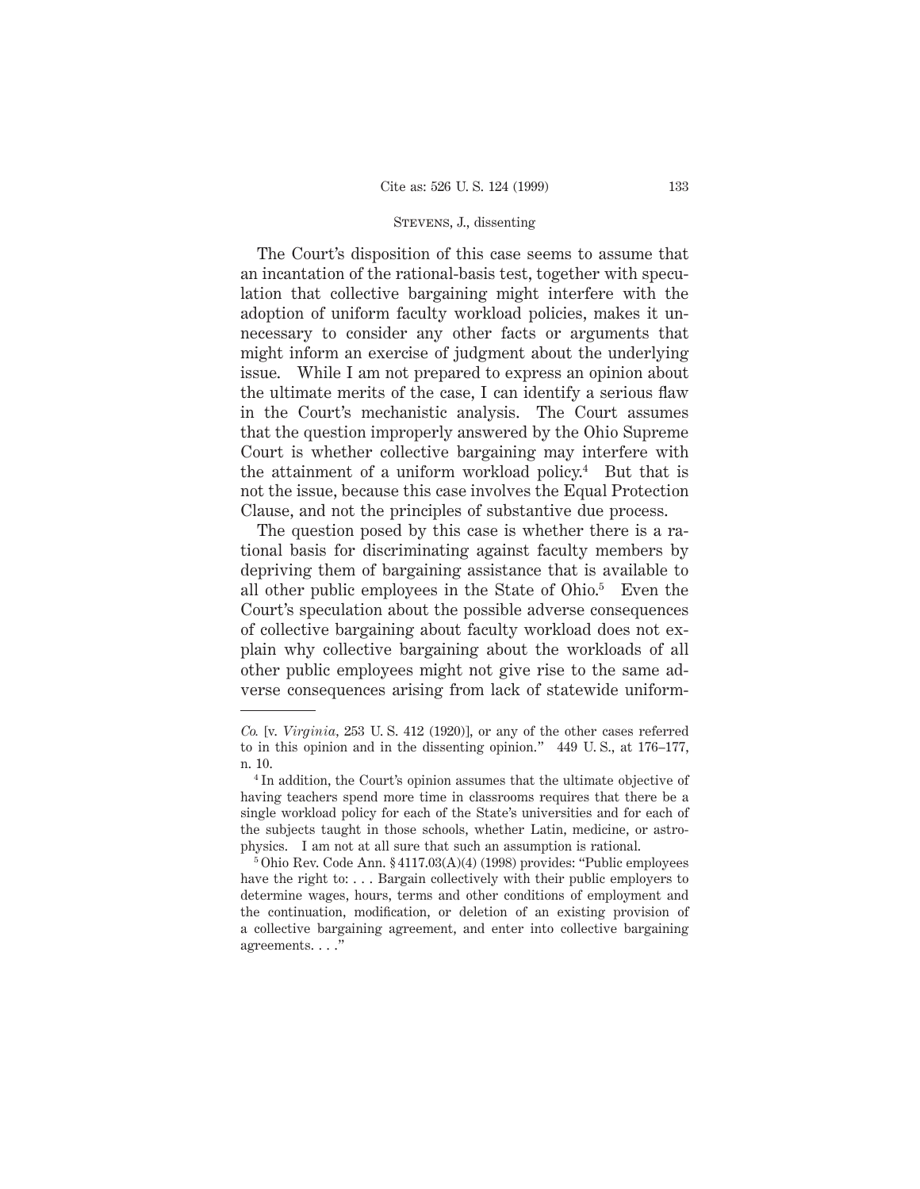### Stevens, J., dissenting

The Court's disposition of this case seems to assume that an incantation of the rational-basis test, together with speculation that collective bargaining might interfere with the adoption of uniform faculty workload policies, makes it unnecessary to consider any other facts or arguments that might inform an exercise of judgment about the underlying issue. While I am not prepared to express an opinion about the ultimate merits of the case, I can identify a serious flaw in the Court's mechanistic analysis. The Court assumes that the question improperly answered by the Ohio Supreme Court is whether collective bargaining may interfere with the attainment of a uniform workload policy.<sup>4</sup> But that is not the issue, because this case involves the Equal Protection Clause, and not the principles of substantive due process.

The question posed by this case is whether there is a rational basis for discriminating against faculty members by depriving them of bargaining assistance that is available to all other public employees in the State of Ohio.5 Even the Court's speculation about the possible adverse consequences of collective bargaining about faculty workload does not explain why collective bargaining about the workloads of all other public employees might not give rise to the same adverse consequences arising from lack of statewide uniform-

*Co.* [v. *Virginia,* 253 U. S. 412 (1920)], or any of the other cases referred to in this opinion and in the dissenting opinion." 449 U. S., at 176–177, n. 10.

<sup>4</sup> In addition, the Court's opinion assumes that the ultimate objective of having teachers spend more time in classrooms requires that there be a single workload policy for each of the State's universities and for each of the subjects taught in those schools, whether Latin, medicine, or astrophysics. I am not at all sure that such an assumption is rational.

<sup>5</sup> Ohio Rev. Code Ann. § 4117.03(A)(4) (1998) provides: "Public employees have the right to:... Bargain collectively with their public employers to determine wages, hours, terms and other conditions of employment and the continuation, modification, or deletion of an existing provision of a collective bargaining agreement, and enter into collective bargaining agreements. . . ."